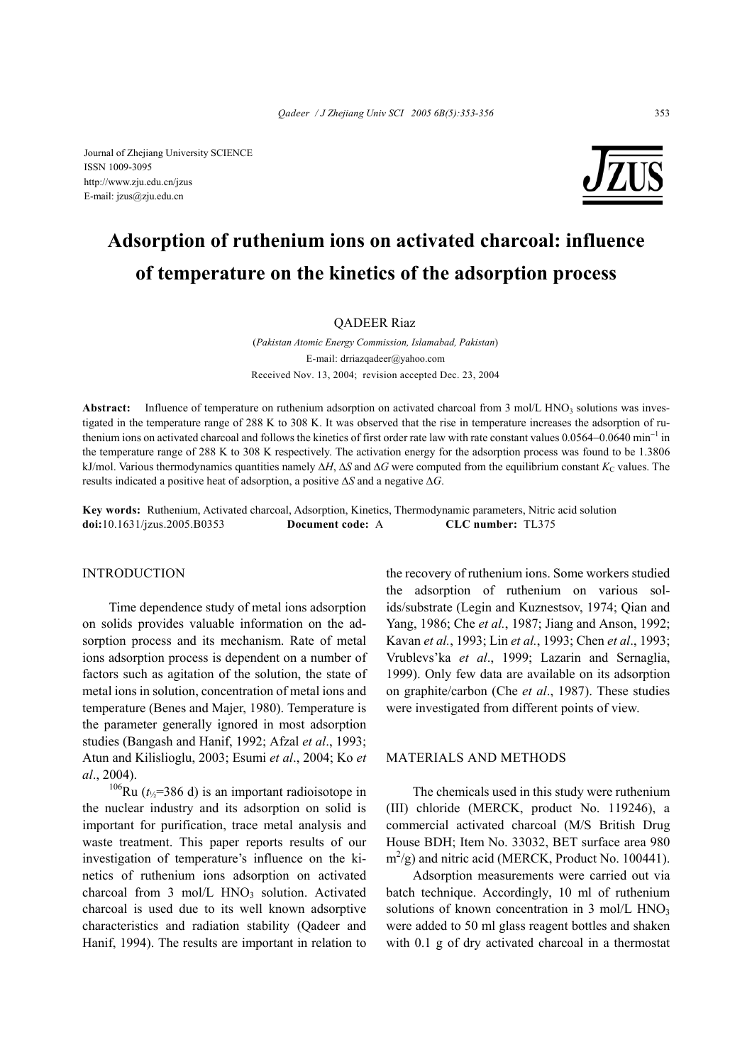

# **Adsorption of ruthenium ions on activated charcoal: influence of temperature on the kinetics of the adsorption process**

QADEER Riaz

(*Pakistan Atomic Energy Commission, Islamabad, Pakistan*) E-mail: drriazqadeer@yahoo.com Received Nov. 13, 2004; revision accepted Dec. 23, 2004

Abstract: Influence of temperature on ruthenium adsorption on activated charcoal from 3 mol/L HNO<sub>3</sub> solutions was investigated in the temperature range of 288 K to 308 K. It was observed that the rise in temperature increases the adsorption of ruthenium ions on activated charcoal and follows the kinetics of first order rate law with rate constant values 0.0564−0.0640 min<sup>−</sup><sup>1</sup> in the temperature range of 288 K to 308 K respectively. The activation energy for the adsorption process was found to be 1.3806 kJ/mol. Various thermodynamics quantities namely ∆*H*, ∆*S* and ∆*G* were computed from the equilibrium constant  $K_c$  values. The results indicated a positive heat of adsorption, a positive ∆*S* and a negative ∆*G*.

**Key words:** Ruthenium, Activated charcoal, Adsorption, Kinetics, Thermodynamic parameters, Nitric acid solution **doi:**10.1631/jzus.2005.B0353 **Document code:** A **CLC number:** TL375

## INTRODUCTION

Time dependence study of metal ions adsorption on solids provides valuable information on the adsorption process and its mechanism. Rate of metal ions adsorption process is dependent on a number of factors such as agitation of the solution, the state of metal ions in solution, concentration of metal ions and temperature (Benes and Majer, 1980). Temperature is the parameter generally ignored in most adsorption studies (Bangash and Hanif, 1992; Afzal *et al*., 1993; Atun and Kilislioglu, 2003; Esumi *et al*., 2004; Ko *et al*., 2004).

<sup>106</sup>Ru ( $t_{\frac{1}{2}}$ =386 d) is an important radioisotope in the nuclear industry and its adsorption on solid is important for purification, trace metal analysis and waste treatment. This paper reports results of our investigation of temperature's influence on the kinetics of ruthenium ions adsorption on activated charcoal from  $3 \text{ mol/L HNO}_3$  solution. Activated charcoal is used due to its well known adsorptive characteristics and radiation stability (Qadeer and Hanif, 1994). The results are important in relation to

the recovery of ruthenium ions. Some workers studied the adsorption of ruthenium on various solids/substrate (Legin and Kuznestsov, 1974; Qian and Yang, 1986; Che *et al.*, 1987; Jiang and Anson, 1992; Kavan *et al.*, 1993; Lin *et al.*, 1993; Chen *et al*., 1993; Vrublevs'ka *et al*., 1999; Lazarin and Sernaglia, 1999). Only few data are available on its adsorption on graphite/carbon (Che *et al*., 1987). These studies were investigated from different points of view.

### MATERIALS AND METHODS

The chemicals used in this study were ruthenium (III) chloride (MERCK, product No. 119246), a commercial activated charcoal (M/S British Drug House BDH; Item No. 33032, BET surface area 980  $\text{m}^2/\text{g}$ ) and nitric acid (MERCK, Product No. 100441).

Adsorption measurements were carried out via batch technique. Accordingly, 10 ml of ruthenium solutions of known concentration in  $3 \text{ mol/L HNO}_3$ were added to 50 ml glass reagent bottles and shaken with 0.1 g of dry activated charcoal in a thermostat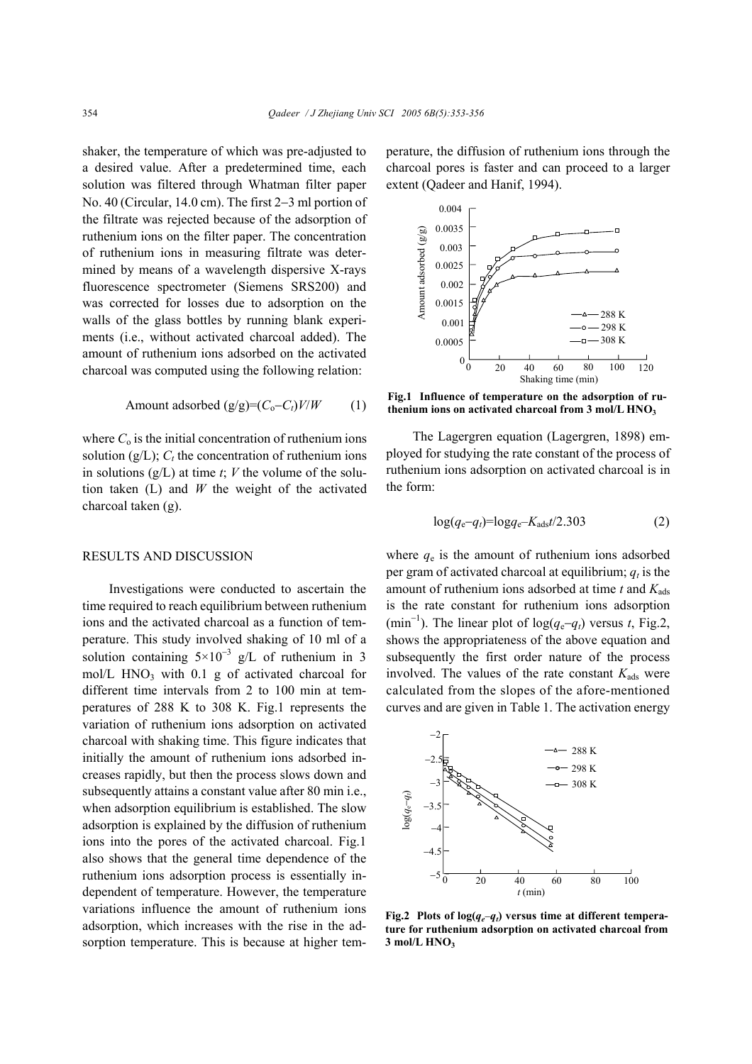shaker, the temperature of which was pre-adjusted to a desired value. After a predetermined time, each solution was filtered through Whatman filter paper No. 40 (Circular, 14.0 cm). The first 2−3 ml portion of the filtrate was rejected because of the adsorption of ruthenium ions on the filter paper. The concentration of ruthenium ions in measuring filtrate was determined by means of a wavelength dispersive X-rays fluorescence spectrometer (Siemens SRS200) and was corrected for losses due to adsorption on the walls of the glass bottles by running blank experiments (i.e., without activated charcoal added). The amount of ruthenium ions adsorbed on the activated charcoal was computed using the following relation:

Amount adsorbed 
$$
(g/g)=(C_o-C_t)V/W
$$
 (1)

where  $C_0$  is the initial concentration of ruthenium ions solution  $(g/L)$ ;  $C_t$  the concentration of ruthenium ions in solutions (g/L) at time *t*; *V* the volume of the solution taken (L) and *W* the weight of the activated charcoal taken (g).

#### RESULTS AND DISCUSSION

Investigations were conducted to ascertain the time required to reach equilibrium between ruthenium ions and the activated charcoal as a function of temperature. This study involved shaking of 10 ml of a solution containing  $5 \times 10^{-3}$  g/L of ruthenium in 3 mol/L HNO<sub>3</sub> with  $0.1$  g of activated charcoal for different time intervals from 2 to 100 min at temperatures of 288 K to 308 K. Fig.1 represents the variation of ruthenium ions adsorption on activated charcoal with shaking time. This figure indicates that initially the amount of ruthenium ions adsorbed increases rapidly, but then the process slows down and subsequently attains a constant value after 80 min i.e., when adsorption equilibrium is established. The slow adsorption is explained by the diffusion of ruthenium ions into the pores of the activated charcoal. Fig.1 also shows that the general time dependence of the ruthenium ions adsorption process is essentially independent of temperature. However, the temperature variations influence the amount of ruthenium ions adsorption, which increases with the rise in the adsorption temperature. This is because at higher temperature, the diffusion of ruthenium ions through the charcoal pores is faster and can proceed to a larger extent (Qadeer and Hanif, 1994).



**Fig.1 Influence of temperature on the adsorption of ruthenium ions on activated charcoal from 3 mol/L HNO3**

The Lagergren equation (Lagergren, 1898) employed for studying the rate constant of the process of ruthenium ions adsorption on activated charcoal is in the form:

$$
\log(q_{\rm e} - q_t) = \log q_{\rm e} - K_{\rm ads} t / 2.303\tag{2}
$$

where  $q_e$  is the amount of ruthenium ions adsorbed per gram of activated charcoal at equilibrium;  $q_t$  is the amount of ruthenium ions adsorbed at time  $t$  and  $K_{ads}$ is the rate constant for ruthenium ions adsorption  $(\text{min}^{-1})$ . The linear plot of log( $q_e - q_t$ ) versus *t*, Fig.2, shows the appropriateness of the above equation and subsequently the first order nature of the process involved. The values of the rate constant  $K_{\text{ads}}$  were calculated from the slopes of the afore-mentioned curves and are given in Table 1. The activation energy



**Fig.2 Plots of log(***qe*−*qt***) versus time at different temperature for ruthenium adsorption on activated charcoal from 3 mol/L HNO3**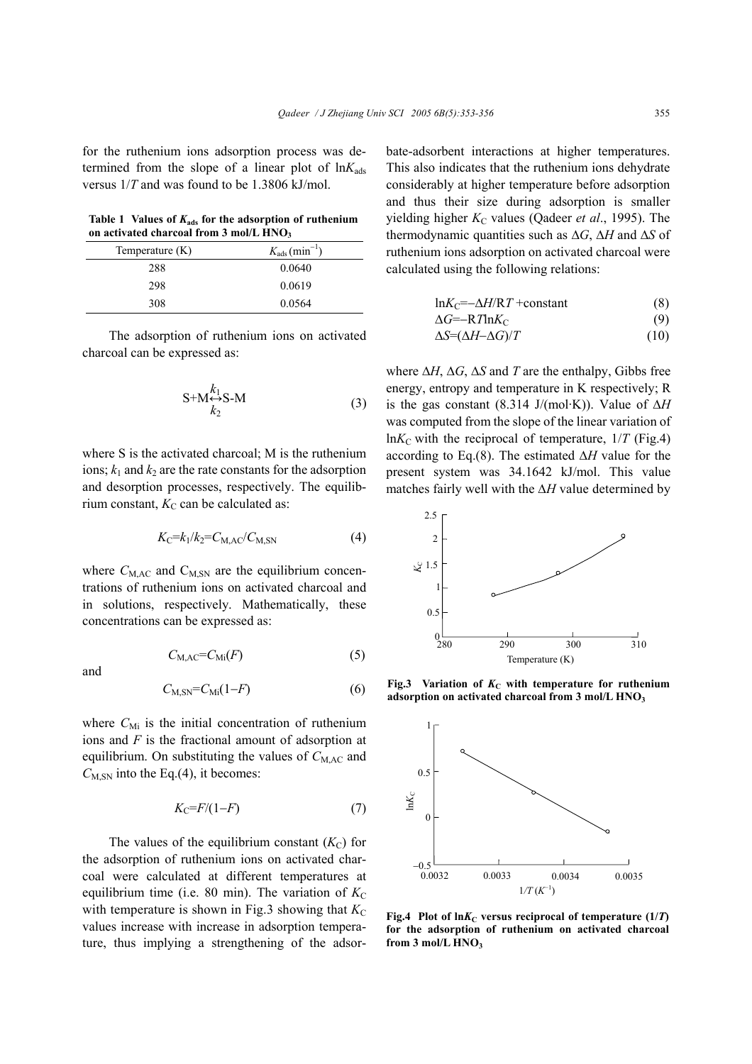for the ruthenium ions adsorption process was determined from the slope of a linear plot of  $ln K_{ads}$ versus 1/*T* and was found to be 1.3806 kJ/mol.

Table 1 Values of  $K_{ads}$  for the adsorption of ruthenium **on activated charcoal from 3 mol/L HNO3**

| Temperature $(K)$ | $K_{\text{ads}}\left(\text{min}^{-1}\right)$ |  |
|-------------------|----------------------------------------------|--|
| 288               | 0.0640                                       |  |
| 298               | 0.0619                                       |  |
| 308               | 0.0564                                       |  |

The adsorption of ruthenium ions on activated charcoal can be expressed as:

$$
S + M \underset{k_2}{\leftrightarrow} S - M \tag{3}
$$

where S is the activated charcoal; M is the ruthenium ions;  $k_1$  and  $k_2$  are the rate constants for the adsorption and desorption processes, respectively. The equilibrium constant,  $K_C$  can be calculated as:

$$
K_{\rm C} = k_1/k_2 = C_{\rm M, AC}/C_{\rm M, SN} \tag{4}
$$

where  $C_{M,AC}$  and  $C_{M,SN}$  are the equilibrium concentrations of ruthenium ions on activated charcoal and in solutions, respectively. Mathematically, these concentrations can be expressed as:

and

$$
C_{\rm M,AC} = C_{\rm Mi}(F) \tag{5}
$$

$$
C_{\text{M,SN}}=C_{\text{Mi}}(1-F) \tag{6}
$$

where  $C_{\text{Mi}}$  is the initial concentration of ruthenium ions and *F* is the fractional amount of adsorption at equilibrium. On substituting the values of C<sub>M,AC</sub> and  $C_{M,SN}$  into the Eq.(4), it becomes:

$$
K_{\mathcal{C}}=F/(1-F) \tag{7}
$$

The values of the equilibrium constant  $(K_C)$  for the adsorption of ruthenium ions on activated charcoal were calculated at different temperatures at equilibrium time (i.e. 80 min). The variation of  $K_C$ with temperature is shown in Fig.3 showing that  $K_C$ values increase with increase in adsorption temperature, thus implying a strengthening of the adsorbate-adsorbent interactions at higher temperatures. This also indicates that the ruthenium ions dehydrate considerably at higher temperature before adsorption and thus their size during adsorption is smaller yielding higher  $K_C$  values (Qadeer *et al.*, 1995). The thermodynamic quantities such as ∆*G*, ∆*H* and ∆*S* of ruthenium ions adsorption on activated charcoal were calculated using the following relations:

$$
lnK_C = -\Delta H / RT + constant \tag{8}
$$

$$
\Delta G = -RTnK_C
$$
\n
$$
\Delta S = (\Delta H - \Delta G)/T
$$
\n(10)

$$
\Delta \beta - (\Delta H - \Delta \beta)^T \tag{10}
$$

where ∆*H*, ∆*G*, ∆*S* and *T* are the enthalpy, Gibbs free energy, entropy and temperature in K respectively; R is the gas constant (8.314 J/(mol·K)). Value of ∆*H*  was computed from the slope of the linear variation of  $ln K_C$  with the reciprocal of temperature,  $1/T$  (Fig.4) according to Eq.(8). The estimated ∆*H* value for the present system was 34.1642 kJ/mol. This value matches fairly well with the ∆*H* value determined by



**Fig.3** Variation of  $K<sub>C</sub>$  with temperature for ruthenium **adsorption on activated charcoal from 3 mol/L HNO3**



**Fig.4** Plot of  $\ln K_C$  versus reciprocal of temperature (1/*T*) **for the adsorption of ruthenium on activated charcoal**  from  $3 \text{ mol/L HNO}_3$